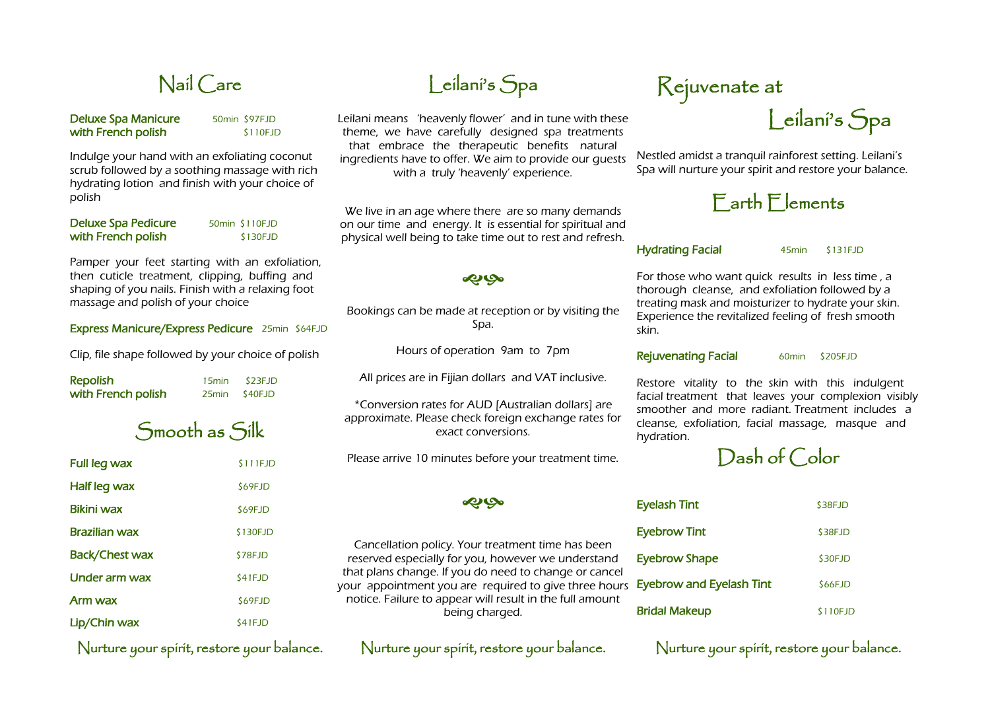# Nail Care

#### Deluxe Spa Manicure 50min \$97FJD with French polish \$110FJD

Indulge your hand with an exfoliating coconut scrub followed by a soothing massage with rich hydrating lotion and finish with your choice of polish

| <b>Deluxe Spa Pedicure</b> | 50min \$110FJD |
|----------------------------|----------------|
| with French polish         | \$130FJD       |

Pamper your feet starting with an exfoliation, then cuticle treatment, clipping, buffing and shaping of you nails. Finish with a relaxing foot massage and polish of your choice

#### Express Manicure/Express Pedicure 25min \$64FJD

Clip, file shape followed by your choice of polish

Repolish 15min \$23FJD with French polish 25min \$40FJD

Smooth as Silk

| Full leg wax         | \$111FJD  |
|----------------------|-----------|
| Half leg wax         | \$69FJD   |
| <b>Bikini wax</b>    | \$69FJD   |
| <b>Brazilian wax</b> | \$130FJD  |
| Back/Chest wax       | \$78FJD   |
| Under arm wax        | \$41FJD   |
| Arm wax              | \$69FJD   |
| Lip/Chin wax         | $$41$ FJD |

Nurture your spirit, restore your balance. Nurture your spirit, restore your balance. Nurture your spirit, restore your balance.

# Leilani's Spa

Leilani means 'heavenly flower' and in tune with these theme, we have carefully designed spa treatments that embrace the therapeutic benefits natural ingredients have to offer. We aim to provide our guests with a truly 'heavenly' experience.

We live in an age where there are so many demands on our time and energy. It is essential for spiritual and physical well being to take time out to rest and refresh.

### **PO**

Bookings can be made at reception or by visiting the Spa.

Hours of operation 9am to 7pm

All prices are in Fijian dollars and VAT inclusive.

\*Conversion rates for AUD [Australian dollars] are approximate. Please check foreign exchange rates for exact conversions.

Please arrive 10 minutes before your treatment time.

**DO** 

### Cancellation policy. Your treatment time has been reserved especially for you, however we understand that plans change. If you do need to change or cancel your appointment you are required to give three hours notice. Failure to appear will result in the full amount being charged.

# Rejuvenate at

Leilani's Spa

Nestled amidst a tranquil rainforest setting. Leilani's Spa will nurture your spirit and restore your balance.

### Earth Elements

#### Hydrating Facial 45min \$131FJD

For those who want quick results in less time , a thorough cleanse, and exfoliation followed by a treating mask and moisturizer to hydrate your skin. Experience the revitalized feeling of fresh smooth skin.

#### Rejuvenating Facial 60min \$205FJD

Restore vitality to the skin with this indulgent facial treatment that leaves your complexion visibly smoother and more radiant. Treatment includes a cleanse, exfoliation, facial massage, masque and hydration.

Dash of Color

| <b>Eyelash Tint</b>             | \$38FJD  |
|---------------------------------|----------|
| <b>Eyebrow Tint</b>             | \$38FJD  |
| <b>Eyebrow Shape</b>            | \$30FJD  |
| <b>Eyebrow and Eyelash Tint</b> | \$66FJD  |
| <b>Bridal Makeup</b>            | \$110FJD |